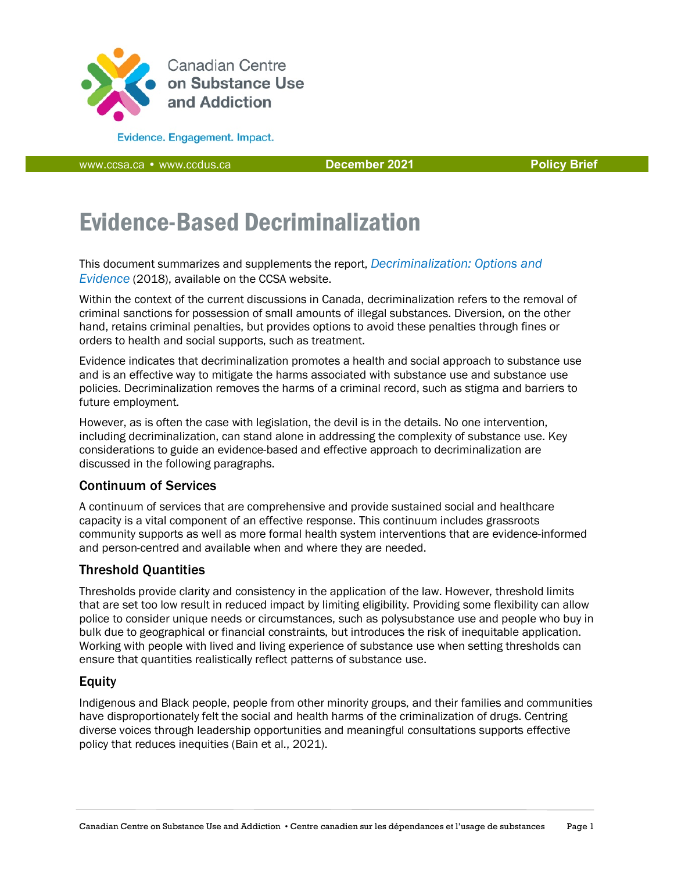

**Evidence. Engagement. Impact.** 

[www.ccsa.ca](http://www.ccsa.ca/) • www.ccdus.ca **December 2021 Policy Brief**

# Evidence-Based Decriminalization

This document summarizes and supplements the report, *[Decriminalization: Options and](https://www.ccsa.ca/sites/default/files/2019-04/CCSA-Decriminalization-Controlled-Substances-Policy-Brief-2018-en.pdf)  [Evidence](https://www.ccsa.ca/sites/default/files/2019-04/CCSA-Decriminalization-Controlled-Substances-Policy-Brief-2018-en.pdf)* (2018), available on the CCSA website.

Within the context of the current discussions in Canada, decriminalization refers to the removal of criminal sanctions for possession of small amounts of illegal substances. Diversion, on the other hand, retains criminal penalties, but provides options to avoid these penalties through fines or orders to health and social supports, such as treatment.

Evidence indicates that decriminalization promotes a health and social approach to substance use and is an effective way to mitigate the harms associated with substance use and substance use policies. Decriminalization removes the harms of a criminal record, such as stigma and barriers to future employment.

However, as is often the case with legislation, the devil is in the details. No one intervention, including decriminalization, can stand alone in addressing the complexity of substance use. Key considerations to guide an evidence-based and effective approach to decriminalization are discussed in the following paragraphs.

#### Continuum of Services

A continuum of services that are comprehensive and provide sustained social and healthcare capacity is a vital component of an effective response. This continuum includes grassroots community supports as well as more formal health system interventions that are evidence-informed and person-centred and available when and where they are needed.

# Threshold Quantities

Thresholds provide clarity and consistency in the application of the law. However, threshold limits that are set too low result in reduced impact by limiting eligibility. Providing some flexibility can allow police to consider unique needs or circumstances, such as polysubstance use and people who buy in bulk due to geographical or financial constraints, but introduces the risk of inequitable application. Working with people with lived and living experience of substance use when setting thresholds can ensure that quantities realistically reflect patterns of substance use.

#### Equity

Indigenous and Black people, people from other minority groups, and their families and communities have disproportionately felt the social and health harms of the criminalization of drugs. Centring diverse voices through leadership opportunities and meaningful consultations supports effective policy that reduces inequities (Bain et al., 2021).